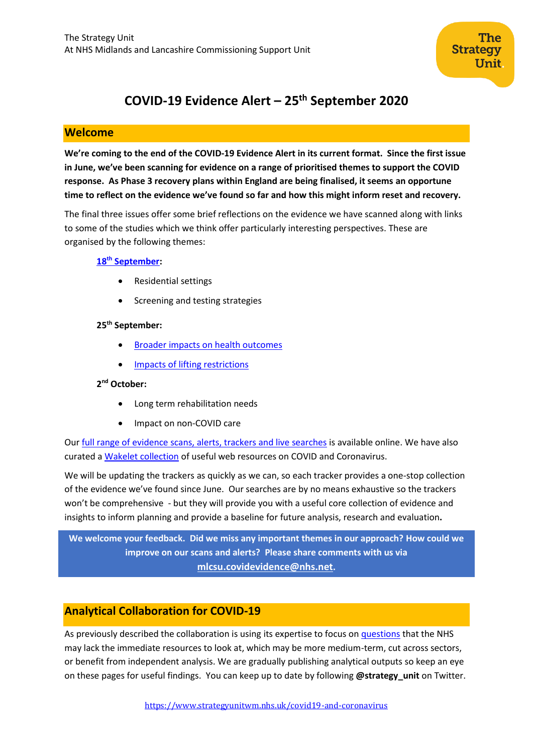

# **COVID-19 Evidence Alert – 25th September 2020**

## **Welcome**

**We're coming to the end of the COVID-19 Evidence Alert in its current format. Since the first issue in June, we've been scanning for evidence on a range of prioritised themes to support the COVID response. As Phase 3 recovery plans within England are being finalised, it seems an opportune time to reflect on the evidence we've found so far and how this might inform reset and recovery.** 

The final three issues offer some brief reflections on the evidence we have scanned along with links to some of the studies which we think offer particularly interesting perspectives. These are organised by the following themes:

#### **18th [September:](https://www.strategyunitwm.nhs.uk/sites/default/files/2020-09/SU_CovidEvidence_WeeklyAlert_18092020.pdf)**

- Residential settings
- Screening and testing strategies

#### **25th September:**

- **[Broader impacts on health outcomes](#page-1-0)**
- [Impacts of lifting restrictions](#page-4-0)

#### **2 nd October:**

- Long term rehabilitation needs
- Impact on non-COVID care

Our [full range of evidence scans, alerts, trackers and live searches](https://www.strategyunitwm.nhs.uk/evidence-helping-you-keep-date) is available online. We have also curated [a Wakelet collection](https://wakelet.com/@Covid19Collaboration) of useful web resources on COVID and Coronavirus.

We will be updating the trackers as quickly as we can, so each tracker provides a one-stop collection of the evidence we've found since June. Our searches are by no means exhaustive so the trackers won't be comprehensive - but they will provide you with a useful core collection of evidence and insights to inform planning and provide a baseline for future analysis, research and evaluation**.** 

**We welcome your feedback. Did we miss any important themes in our approach? How could we improve on our scans and alerts? Please share comments with us via [mlcsu.covidevidence@nhs.net](mailto:mlcsu.covidevidence@nhs.net).**

# **Analytical Collaboration for COVID-19**

As previously described the collaboration is using its expertise to focus on [questions](https://www.strategyunitwm.nhs.uk/sites/default/files/2020-05/Covid%20Collaboration%20Summaries_0.pdf) that the NHS may lack the immediate resources to look at, which may be more medium-term, cut across sectors, or benefit from independent analysis. We are gradually publishing analytical outputs so keep an eye on these pages for useful findings. You can keep up to date by following **@strategy\_unit** on Twitter.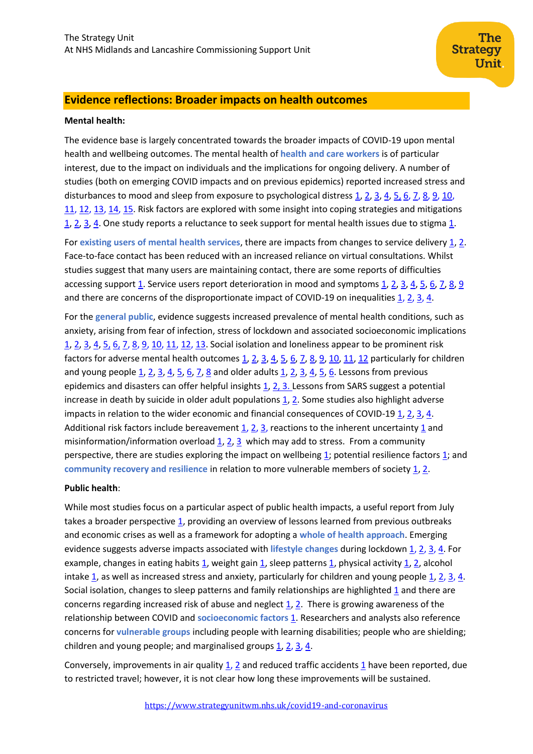# <span id="page-1-0"></span>**Evidence reflections: Broader impacts on health outcomes**

#### **Mental health:**

The evidence base is largely concentrated towards the broader impacts of COVID-19 upon mental health and wellbeing outcomes. The mental health of **health and care workers** is of particular interest, due to the impact on individuals and the implications for ongoing delivery. A number of studies (both on emerging COVID impacts and on previous epidemics) reported increased stress and disturbances to mood and sleep from exposure to psychological distress [1,](https://www.sciencedirect.com/science/article/pii/S088915912030845X) [2,](https://www.cambridge.org/core/services/aop-cambridge-core/content/view/3259D0FF579B301246410C8627E447FD/S2056469420000443a.pdf/mental_health_of_doctors_during_the_covid19_pandemic.pdf) [3,](https://www.ncbi.nlm.nih.gov/pmc/articles/PMC7202793/) [4,](https://pubmed.ncbi.nlm.nih.gov/32276196/) [5,](https://link.springer.com/article/10.1007/s11126-009-9095-5) [6,](https://www.sciencedirect.com/science/article/pii/S0889159120309545?via%3Dihub) [7,](https://academic.oup.com/qjmed/article/113/9/613/5860843) [8,](https://www.sciencedirect.com/science/article/pii/S152168962030063X) [9,](https://www.ncbi.nlm.nih.gov/pmc/articles/PMC7350408/pdf/11920_2020_Article_1166.pdf) [10,](https://www.tandfonline.com/doi/full/10.1080/13561820.2020.1792425) [11,](https://link.springer.com/article/10.1186/s12245-020-00299-5) [12,](https://link.springer.com/article/10.1186/s13613-020-00722-3) [13,](https://www.sciencedirect.com/science/article/pii/S0165178120324987) [14,](https://www.ncbi.nlm.nih.gov/pmc/articles/PMC7417292/) [15.](https://assets.researchsquare.com/files/rs-62472/v1/485ca8d1-431d-4d3b-bda1-983560273613.pdf) Risk factors are explored with some insight into coping strategies and mitigations [1,](https://www.ncbi.nlm.nih.gov/pmc/articles/PMC7141468/) [2,](https://www.cochranelibrary.com/cdsr/doi/10.1002/14651858.CD012527.pub2/full) [3,](http://www2.nphs.wales.nhs.uk:8080/PubHObservatoryProjDocs.nsf/85c50756737f79ac80256f2700534ea3/0d78bd8cd14cd76d80258551003eaa67/$FILE/Mental%20wellbeing%20support%20for%20staff%20RA%20v1.0%20final.pdf) [4.](https://www.tandfonline.com/doi/pdf/10.1080/15325024.2020.1763556?needAccess=true) One study reports a reluctance to seek support for mental health issues due to stigma [1.](https://www.bmj.com/content/bmj/369/bmj.m1642.full.pdf)

For **existing users of mental health services**, there are impacts from changes to service delivery [1,](https://www.sciencedirect.com/science/article/pii/S0889159120309545?via%3Dihub) [2.](https://www.cambridge.org/core/journals/irish-journal-of-psychological-medicine/article/impact-of-the-covid19-pandemic-on-patients-with-preexisting-anxiety-disorders-attending-secondary-care/E0F7363409984C4CF5553CDCC95DCF49) Face-to-face contact has been reduced with an increased reliance on virtual consultations. Whilst studies suggest that many users are maintaining contact, there are some reports of difficulties accessing support [1.](https://youngminds.org.uk/media/3708/coronavirus-report_march2020.pdf) Service users report deterioration in mood and symptoms  $1, 2, 3, 4, 5, 6, 7, 8, 9$  $1, 2, 3, 4, 5, 6, 7, 8, 9$  $1, 2, 3, 4, 5, 6, 7, 8, 9$  $1, 2, 3, 4, 5, 6, 7, 8, 9$  $1, 2, 3, 4, 5, 6, 7, 8, 9$  $1, 2, 3, 4, 5, 6, 7, 8, 9$  $1, 2, 3, 4, 5, 6, 7, 8, 9$  $1, 2, 3, 4, 5, 6, 7, 8, 9$  $1, 2, 3, 4, 5, 6, 7, 8, 9$ and there are concerns of the disproportionate impact of COVID-19 on inequalities  $1, 2, 3, 4$  $1, 2, 3, 4$  $1, 2, 3, 4$  $1, 2, 3, 4$ .

For the **general public**, evidence suggests increased prevalence of mental health conditions, such as anxiety, arising from fear of infection, stress of lockdown and associated socioeconomic implications [1,](https://www.centreformentalhealth.org.uk/sites/default/files/2020-05/CentreforMentalHealth_COVID_MH_Forecasting_May20.pdf) [2,](https://arc-w.nihr.ac.uk/covid-response/rapid-reports/potential-impact-of-covid-19-on-mental-health-outcomes-and-the-implications-for-service-solutions/) [3,](https://pubmed.ncbi.nlm.nih.gov/32370116/) [4,](https://www.ncbi.nlm.nih.gov/pmc/articles/PMC7180007/) [5,](https://link.springer.com/chapter/10.1007/978-981-15-4814-7_16) [6,](https://www.medrxiv.org/content/10.1101/2020.05.14.20102012v1) [7,](https://onlinelibrary.wiley.com/doi/full/10.1111/bjhp.12430) [8,](https://academic.oup.com/qjmed/article/113/8/531/5860841) [9,](https://www.mind.org.uk/media-a/5929/the-mental-health-emergency_a4_final.pdf?utm_source=The%20King%27s%20Fund%20newsletters%20%28main%20account%29&utm_medium=email&utm_campaign=11652797_NEWSL_HMP%202020-07-07&dm_i=21A8,6XRCT,FLX5Q6,RWPTA,1) [10,](https://www.medrxiv.org/content/10.1101/2020.07.05.20146738v1) [11,](https://www.thelancet.com/journals/lanpsy/article/PIIS2215-0366(20)30308-4/fulltext) [12,](https://www.sciencedirect.com/science/article/pii/S0165178120326445) [13.](https://www.ncbi.nlm.nih.gov/pmc/articles/PMC7417292/) Social isolation and loneliness appear to be prominent risk factors for adverse mental health outcomes  $1, 2, 3, 4, 5, 6, 7, 8, 9, 10, 11, 12$  $1, 2, 3, 4, 5, 6, 7, 8, 9, 10, 11, 12$  $1, 2, 3, 4, 5, 6, 7, 8, 9, 10, 11, 12$  $1, 2, 3, 4, 5, 6, 7, 8, 9, 10, 11, 12$  $1, 2, 3, 4, 5, 6, 7, 8, 9, 10, 11, 12$  $1, 2, 3, 4, 5, 6, 7, 8, 9, 10, 11, 12$  $1, 2, 3, 4, 5, 6, 7, 8, 9, 10, 11, 12$  $1, 2, 3, 4, 5, 6, 7, 8, 9, 10, 11, 12$  $1, 2, 3, 4, 5, 6, 7, 8, 9, 10, 11, 12$  $1, 2, 3, 4, 5, 6, 7, 8, 9, 10, 11, 12$  $1, 2, 3, 4, 5, 6, 7, 8, 9, 10, 11, 12$  $1, 2, 3, 4, 5, 6, 7, 8, 9, 10, 11, 12$  $1, 2, 3, 4, 5, 6, 7, 8, 9, 10, 11, 12$  particularly for children and young people  $1, 2, 3, 4, 5, 6, 7, 8$  $1, 2, 3, 4, 5, 6, 7, 8$  $1, 2, 3, 4, 5, 6, 7, 8$  $1, 2, 3, 4, 5, 6, 7, 8$  $1, 2, 3, 4, 5, 6, 7, 8$  $1, 2, 3, 4, 5, 6, 7, 8$  $1, 2, 3, 4, 5, 6, 7, 8$  $1, 2, 3, 4, 5, 6, 7, 8$  and older adults  $1, 2, 3, 4, 5, 6$ . Lessons from previous epidemics and disasters can offer helpful insights [1,](https://www.pnas.org/content/pnas/early/2020/05/14/2006706117.full.pdf) [2,](https://www.ncbi.nlm.nih.gov/pmc/articles/PMC3539574/) [3.](https://journals.sagepub.com/doi/full/10.1177/0020764020925835) Lessons from SARS suggest a potential increase in death by suicide in older adult populations  $1, 2$ . Some studies also highlight adverse impacts in relation to the wider economic and financial consequences of COVID-19 [1,](https://www.mentalhealth.org.uk/sites/default/files/MHF-covid-19-inequality-mental-health-briefing.pdf) [2,](https://doi.org/10.1007/s41811-020-00078-3) [3,](https://view.publitas.com/the-childhood-trust/children-in-lockdown-the-childhood-trust-report-june-2020/page/2-3) [4.](https://www.medrxiv.org/content/10.1101/2020.05.14.20101717v2) Additional risk factors include bereavement  $1, 2, 3$  $1, 2, 3$  $1, 2, 3$ , reactions to the inherent uncertainty  $1$  and misinformation/information overload  $1, 2, 3$  $1, 2, 3$  $1, 2, 3$  which may add to stress. From a community perspective, there are studies exploring the impact on wellbeing [1;](https://www.sciencedirect.com/science/article/pii/S0165178120309902?via%3Dihub=) potential resilience factors [1;](https://www.medrxiv.org/content/10.1101/2020.05.05.20092023v1.full.pdf) and **community recovery and resilience in relation to more vulnerable members of society [1,](https://www.gcph.co.uk/assets/0000/7854/COVID19_Comm_Recovery_FINAL.pdf) [2.](https://osf.io/preprints/socarxiv/zrkgh/)** 

#### **Public health**:

While most studies focus on a particular aspect of public health impacts, a useful report from July takes a broader perspective  $1$ , providing an overview of lessons learned from previous outbreaks and economic crises as well as a framework for adopting a **whole of health approach**. Emerging evidence suggests adverse impacts associated with *lifestyle* changes during lockdown [1,](https://www.nature.com/articles/s41430-020-0646-z) [2,](https://www.medrxiv.org/content/10.1101/2020.05.04.20072447v1.full.pdf) [3,](https://journals.sagepub.com/doi/pdf/10.1177/1359105320937053) [4.](https://psyarxiv.com/anqct/) For example, changes in eating habits [1,](https://www.ncbi.nlm.nih.gov/pmc/articles/PMC7278251/) weight gain [1,](https://www.sciencedirect.com/science/article/pii/S1871403X20303781) sleep pattern[s 1,](https://pubmed.ncbi.nlm.nih.gov/32563951/) physical activity [1,](https://www.acpjournals.org/doi/full/10.7326/M20-2665) [2,](https://bmjopensem.bmj.com/content/bmjosem/6/1/e000850.full.pdf) alcohol intake  $1$ , as well as increased stress and anxiety, particularly for children and young people  $1$ ,  $2$ ,  $3$ ,  $4$ . Social isolation, changes to sleep patterns and family relationships are highlighted  $1$  and there are concerns regarding increased risk of abuse and neglect [1,](https://pubs.rsna.org/doi/pdf/10.1148/radiol.2020202866) [2.](https://www.sciencedirect.com/science/article/pii/S0145213420303239?via%3Dihub) There is growing awareness of the relationship between COVID and **socioeconomic factors** [1.](https://www.ljmu.ac.uk/~/media/phi-reports/2020-07-direct-and-indirect-impacts-of-covid19-on-health-and-wellbeing.pdf) Researchers and analysts also reference concerns for **vulnerable groups** including people with learning disabilities; people who are shielding; children and young people; and marginalised groups  $1, 2, 3, 4$  $1, 2, 3, 4$  $1, 2, 3, 4$  $1, 2, 3, 4$ .

Conversely, improvements in air quality [1,](http://home.uchicago.edu/~scicala/papers/CHMMY/CHMMY.pdf) [2](http://ftp.iza.org/dp13480.pdf) and reduced traffic accidents [1](https://papers.ssrn.com/sol3/papers.cfm?abstract_id=3602431) have been reported, due to restricted travel; however, it is not clear how long these improvements will be sustained.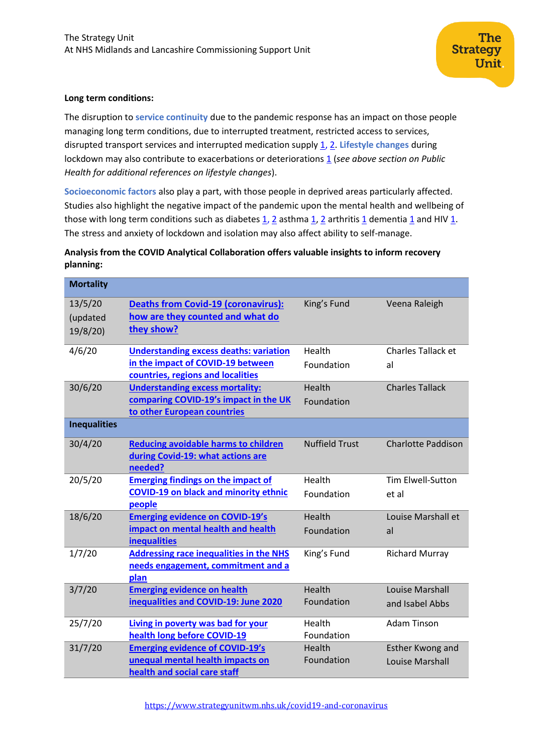#### **Long term conditions:**

The disruption to **service continuity** due to the pandemic response has an impact on those people managing long term conditions, due to interrupted treatment, restricted access to services, disrupted transport services and interrupted medication supply [1,](https://www.cebm.net/covid-19/supporting-people-with-long-term-conditions-ltcs-during-national-emergencies/) [2.](https://www.medrxiv.org/content/10.1101/2020.06.04.20122564v1) **Lifestyle changes** during lockdown may also contribute to exacerbations or deterioration[s 1](https://www.sciencedirect.com/science/article/pii/S0167527320337219) (see above section on Public *Health for additional references on lifestyle changes*).

**Socioeconomic factors** also play a part, with those people in deprived areas particularly affected. Studies also highlight the negative impact of the pandemic upon the mental health and wellbeing of those with long term conditions such as diabetes  $\underline{1}$ ,  $\underline{2}$  asthma  $\underline{1}$ ,  $\underline{2}$  arthritis  $\underline{1}$  dementia  $\underline{1}$  and HIV  $\underline{1}$ . The stress and anxiety of lockdown and isolation may also affect ability to self-manage.

## **Analysis from the COVID Analytical Collaboration offers valuable insights to inform recovery planning:**

| <b>Mortality</b>               |                                                                                                                         |                       |                                                   |
|--------------------------------|-------------------------------------------------------------------------------------------------------------------------|-----------------------|---------------------------------------------------|
| 13/5/20<br>(updated<br>19/8/20 | <b>Deaths from Covid-19 (coronavirus):</b><br>how are they counted and what do<br>they show?                            | King's Fund           | Veena Raleigh                                     |
| 4/6/20                         | <b>Understanding excess deaths: variation</b><br>in the impact of COVID-19 between<br>countries, regions and localities | Health<br>Foundation  | <b>Charles Tallack et</b><br>al                   |
| 30/6/20                        | <b>Understanding excess mortality:</b><br>comparing COVID-19's impact in the UK<br>to other European countries          | Health<br>Foundation  | <b>Charles Tallack</b>                            |
| <b>Inequalities</b>            |                                                                                                                         |                       |                                                   |
| 30/4/20                        | <b>Reducing avoidable harms to children</b><br>during Covid-19: what actions are<br>needed?                             | <b>Nuffield Trust</b> | <b>Charlotte Paddison</b>                         |
| 20/5/20                        | <b>Emerging findings on the impact of</b><br><b>COVID-19 on black and minority ethnic</b><br>people                     | Health<br>Foundation  | <b>Tim Elwell-Sutton</b><br>et al                 |
| 18/6/20                        | <b>Emerging evidence on COVID-19's</b><br>impact on mental health and health<br><b>inequalities</b>                     | Health<br>Foundation  | Louise Marshall et<br>al                          |
| 1/7/20                         | <b>Addressing race inequalities in the NHS</b><br>needs engagement, commitment and a<br>plan                            | King's Fund           | <b>Richard Murray</b>                             |
| 3/7/20                         | <b>Emerging evidence on health</b><br>inequalities and COVID-19: June 2020                                              | Health<br>Foundation  | <b>Louise Marshall</b><br>and Isabel Abbs         |
| 25/7/20                        | Living in poverty was bad for your<br>health long before COVID-19                                                       | Health<br>Foundation  | <b>Adam Tinson</b>                                |
| 31/7/20                        | <b>Emerging evidence of COVID-19's</b><br>unequal mental health impacts on<br>health and social care staff              | Health<br>Foundation  | <b>Esther Kwong and</b><br><b>Louise Marshall</b> |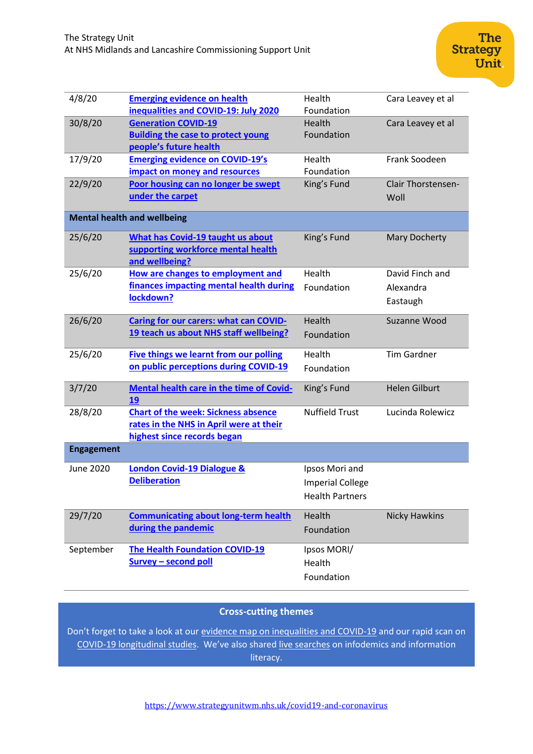| 4/8/20                             | <b>Emerging evidence on health</b>            | Health                  | Cara Leavey et al         |  |
|------------------------------------|-----------------------------------------------|-------------------------|---------------------------|--|
|                                    | inequalities and COVID-19: July 2020          | Foundation              |                           |  |
| 30/8/20                            | <b>Generation COVID-19</b>                    | Health                  | Cara Leavey et al         |  |
|                                    | <b>Building the case to protect young</b>     | Foundation              |                           |  |
|                                    | people's future health                        |                         |                           |  |
| 17/9/20                            | <b>Emerging evidence on COVID-19's</b>        | Health                  | Frank Soodeen             |  |
|                                    | impact on money and resources                 | Foundation              |                           |  |
| 22/9/20                            | Poor housing can no longer be swept           | King's Fund             | <b>Clair Thorstensen-</b> |  |
|                                    | under the carpet                              |                         | Woll                      |  |
| <b>Mental health and wellbeing</b> |                                               |                         |                           |  |
| 25/6/20                            | <b>What has Covid-19 taught us about</b>      | King's Fund             | <b>Mary Docherty</b>      |  |
|                                    | supporting workforce mental health            |                         |                           |  |
|                                    | and wellbeing?                                |                         |                           |  |
| 25/6/20                            | How are changes to employment and             | Health                  | David Finch and           |  |
|                                    | finances impacting mental health during       | Foundation              | Alexandra                 |  |
|                                    | lockdown?                                     |                         | Eastaugh                  |  |
|                                    |                                               |                         |                           |  |
| 26/6/20                            | <b>Caring for our carers: what can COVID-</b> | Health                  | Suzanne Wood              |  |
|                                    | 19 teach us about NHS staff wellbeing?        | Foundation              |                           |  |
|                                    |                                               |                         |                           |  |
| 25/6/20                            | <b>Five things we learnt from our polling</b> | Health                  | <b>Tim Gardner</b>        |  |
|                                    | on public perceptions during COVID-19         | Foundation              |                           |  |
| 3/7/20                             | Mental health care in the time of Covid-      |                         | <b>Helen Gilburt</b>      |  |
|                                    | 19                                            | King's Fund             |                           |  |
| 28/8/20                            | <b>Chart of the week: Sickness absence</b>    | <b>Nuffield Trust</b>   | Lucinda Rolewicz          |  |
|                                    | rates in the NHS in April were at their       |                         |                           |  |
|                                    | highest since records began                   |                         |                           |  |
|                                    |                                               |                         |                           |  |
| <b>Engagement</b>                  |                                               |                         |                           |  |
| June 2020                          | <b>London Covid-19 Dialogue &amp;</b>         | Ipsos Mori and          |                           |  |
|                                    | <b>Deliberation</b>                           | <b>Imperial College</b> |                           |  |
|                                    |                                               | <b>Health Partners</b>  |                           |  |
|                                    |                                               |                         |                           |  |
| 29/7/20                            | <b>Communicating about long-term health</b>   | Health                  | <b>Nicky Hawkins</b>      |  |
|                                    | during the pandemic                           | Foundation              |                           |  |
|                                    |                                               |                         |                           |  |
| September                          | <b>The Health Foundation COVID-19</b>         | Ipsos MORI/             |                           |  |
|                                    | <b>Survey - second poll</b>                   | Health                  |                           |  |
|                                    |                                               | Foundation              |                           |  |
|                                    |                                               |                         |                           |  |

# **Cross-cutting themes**

Don't forget to take a look at our [evidence map on inequalities and COVID-19](https://www.strategyunitwm.nhs.uk/sites/default/files/2020-08/20200821%20COVID-19%20and%20inequalities%20evidence%20map.xlsx) and our rapid scan on [COVID-19 longitudinal studies.](https://www.strategyunitwm.nhs.uk/sites/default/files/2020-08/20200821%20Evidence%20rapid%20scan%207%20-%20Prospective%20population%20studies.pdf) We've also share[d live searches](https://www.strategyunitwm.nhs.uk/evidence-helping-you-keep-date) on infodemics and information literacy.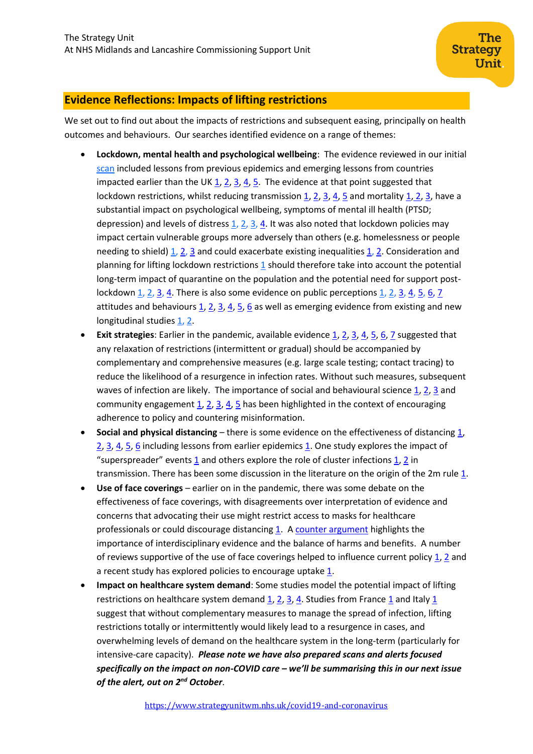# <span id="page-4-0"></span>**Evidence Reflections: Impacts of lifting restrictions**

We set out to find out about the impacts of restrictions and subsequent easing, principally on health outcomes and behaviours. Our searches identified evidence on a range of themes:

- **Lockdown, mental health and psychological wellbeing**: The evidence reviewed in our initial [scan](https://www.strategyunitwm.nhs.uk/sites/default/files/2020-05/20200514%20Evidence%20rapid%20scan%203%20-%20Lifting%20Restrictions.pdf) included lessons from previous epidemics and emerging lessons from countries impacted earlier than the U[K 1,](https://www.sciencedirect.com/science/article/pii/S0033350620302663?via%3Dihub) [2,](https://www.frontiersin.org/articles/10.3389/fmed.2020.00274/full) [3,](https://pubmed.ncbi.nlm.nih.gov/32456689/) [4,](https://www.ncbi.nlm.nih.gov/pmc/articles/PMC7227502/) [5.](https://www.mdpi.com/2227-9032/8/3/229/htm) The evidence at that point suggested that lockdown restrictions, whilst reducing transmissio[n 1,](https://link.springer.com/article/10.1007/s40258-020-00596-3) [2,](https://www.nature.com/articles/s41586-020-2404-8) [3,](https://www.nature.com/articles/s41586-020-2405-7) [4,](https://bjgpopen.org/content/4/3/bjgpopen20X101116) [5](https://www.ncbi.nlm.nih.gov/pmc/articles/PMC7463225/) and mortalit[y 1,](https://jamanetwork.com/journals/jama/fullarticle/208354) [2,](https://www.cochranelibrary.com/cdsr/doi/10.1002/14651858.CD013574/full) [3,](https://pubmed.ncbi.nlm.nih.gov/32491297/) have a substantial impact on psychological wellbeing, symptoms of mental ill health (PTSD; depression) and levels of distress [1,](https://www.ncbi.nlm.nih.gov/pmc/articles/PMC3323345/) [2,](https://www.ncbi.nlm.nih.gov/pmc/articles/PMC2870884/) [3,](https://academic.oup.com/jid/article/202/6/867/936219) [4.](https://www.mdpi.com/1660-4601/17/12/4561/htm) It was also noted that lockdown policies may impact certain vulnerable groups more adversely than others (e.g. homelessness or people needing to shield) [1,](https://www.dors.it/documentazione/testo/202005/COVID-19-Italy-response.pdf) [2,](https://www.ncbi.nlm.nih.gov/pmc/articles/PMC3323345/) [3](http://www2.nphs.wales.nhs.uk:8080/PubHObservatoryProjDocs.nsf/85c50756737f79ac80256f2700534ea3/a2e2ebe4d87fd47c8025855f003a454c/$FILE/Mental%20wellbeing%20in%20older%20people%20rapid%20response%20FINAL.pdf) and could exacerbate existing inequalitie[s 1,](https://jech.bmj.com/content/74/9/683.full) [2.](https://www.pnas.org/content/pnas/early/2020/07/28/2009412117.full.pdf) Consideration and planning for lifting lockdown restrictions [1](https://www.econstor.eu/bitstream/10419/216498/1/dp13186.pdf) should therefore take into account the potential long-term impact of quarantine on the population and the potential need for support post-lockdown [1,](https://www.dors.it/documentazione/testo/202005/COVID-19-Italy-response.pdf) [2,](https://www.kcl.ac.uk/policy-institute/assets/coronavirus-in-the-uk.pdf) [3,](https://bmjopen.bmj.com/content/bmjopen/10/7/e039334.full.pdf) [4.](https://link.springer.com/article/10.1007/BF03404439) There is also some evidence on public perception[s 1,](https://link.springer.com/article/10.1007/BF03404439) 2, 3, [4,](https://pubmed.ncbi.nlm.nih.gov/32701460/) [5,](https://journals.plos.org/plosone/article?id=10.1371/journal.pone.0236917#sec017) [6,](https://royalsocietypublishing.org/doi/10.1098/rsos.200644#d1e4684) [7](https://wellcome.org/sites/default/files/wellcome-monitor-2020-covid-19-report.pdf) attitudes and behaviours  $\underline{1}$ ,  $\underline{2}$ ,  $\underline{3}$ ,  $\underline{4}$ ,  $\underline{5}$ ,  $\underline{6}$  as well as emerging evidence from existing and new longitudinal studies [1,](https://www.covidsocialstudy.org/results) [2.](https://www.strategyunitwm.nhs.uk/sites/default/files/2020-08/20200821%20Evidence%20rapid%20scan%207%20-%20Prospective%20population%20studies.pdf)
- **Exit strategies**: Earlier in the pandemic, available evidence [1,](https://www.instituteforgovernment.org.uk/publications/lifting-lockdown-coronavirus-exit-strategy) [2,](https://www.medrxiv.org/content/10.1101/2020.04.13.20063933v2) [3,](https://papers.ssrn.com/sol3/papers.cfm?abstract_id=3572141) [4,](https://www.thelancet.com/journals/lanpub/article/PIIS2468-2667(20)30072-4/fulltext) [5,](https://www.nature.com/articles/s41591-020-0871-y.pdf) [6,](https://erj.ersjournals.com/content/early/2020/05/26/13993003.01483-2020) [7](https://www.medrxiv.org/content/10.1101/2020.08.05.20169078v1) suggested that any relaxation of restrictions (intermittent or gradual) should be accompanied by complementary and comprehensive measures (e.g. large scale testing; contact tracing) to reduce the likelihood of a resurgence in infection rates. Without such measures, subsequent waves of infection are likely. The importance of social and behavioural scienc[e 1,](https://www.nature.com/articles/s41562-020-0884-z) [2,](https://www.nature.com/articles/s41562-020-0887-9) [3](https://journals.sagepub.com/doi/pdf/10.1177/1090198120935073) and community engagement  $1$ ,  $2$ ,  $3$ ,  $4$ ,  $5$  has been highlighted in the context of encouraging adherence to policy and countering misinformation.
- **Social and physical distancing** there is some evidence on the effectiveness of distancing [1,](https://www.dors.it/documentazione/testo/202005/COVID-19-Italy-response.pdf) [2,](https://www.thelancet.com/journals/lancet/article/PIIS0140-6736(20)31142-9/fulltext?utm_campaign=tlcoronavirus20&utm_content=130650663&utm_medium=social&utm_source=twitter&hss_channel=tw-27013292) [3,](https://www.bmj.com/content/bmj/370/bmj.m2743.full.pdf) [4,](https://www.medrxiv.org/content/10.1101/2020.05.28.20116129v3) [5,](https://pubmed.ncbi.nlm.nih.gov/32529592/) [6](https://pubmed.ncbi.nlm.nih.gov/32730356/) including lessons from earlier epidemic[s 1.](https://journals.plos.org/plosone/article?id=10.1371/journal.pone.0180545) One study explores the impact of "superspreader" events  $\underline{1}$  $\underline{1}$  $\underline{1}$  and others explore the role of cluster infections  $\underline{1}$ ,  $\underline{2}$  in transmission. There has been some discussion in the literature on the origin of the 2m rule  $1$ .
- **Use of face coverings** earlier on in the pandemic, there was some debate on the effectiveness of face coverings, with disagreements over interpretation of evidence and concerns that advocating their use might restrict access to masks for healthcare professionals or could discourage distancing [1.](https://www.bmj.com/content/370/bmj.m2913.long) A [counter argument](https://onlinelibrary.wiley.com/doi/10.1111/jep.13415) highlights the importance of interdisciplinary evidence and the balance of harms and benefits. A number of reviews supportive of the use of face coverings helped to influence current policy [1,](https://www.thelancet.com/journals/lancet/article/PIIS0140-6736(20)31142-9/fulltext?utm_campaign=tlcoronavirus20&utm_content=130650663&utm_medium=social&utm_source=twitter&hss_channel=tw-27013292) [2](https://www.bmj.com/content/369/bmj.m1435) and a recent study has explored policies to encourage uptake  $1$ .
- **Impact on healthcare system demand**: Some studies model the potential impact of lifting restrictions on healthcare system demand  $1, 2, 3, 4$  $1, 2, 3, 4$  $1, 2, 3, 4$  $1, 2, 3, 4$ . Studies from France  $1$  and Italy  $1$ suggest that without complementary measures to manage the spread of infection, lifting restrictions totally or intermittently would likely lead to a resurgence in cases, and overwhelming levels of demand on the healthcare system in the long-term (particularly for intensive-care capacity). *Please note we have also prepared scans and alerts focused specifically on the impact on non-COVID care – we'll be summarising this in our next issue of the alert, out on 2nd October*.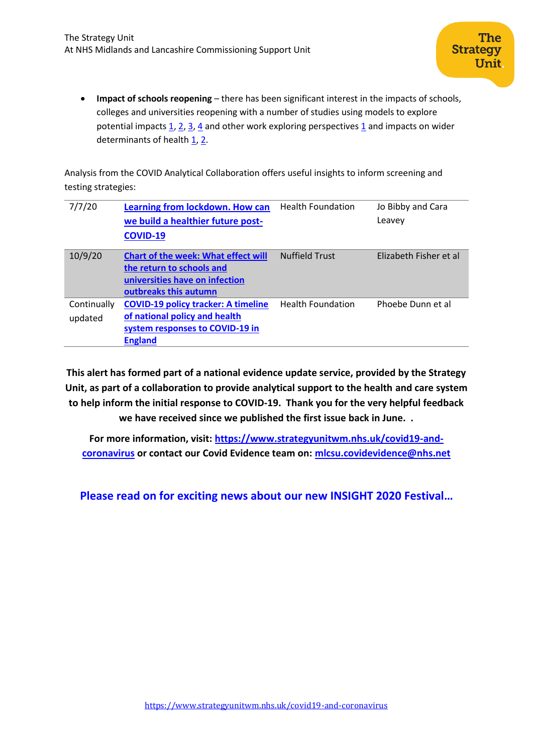• **Impact of schools reopening** – there has been significant interest in the impacts of schools, colleges and universities reopening with a number of studies using models to explore potential impacts  $\underline{1}$ ,  $\underline{2}$ ,  $\underline{3}$ ,  $\underline{4}$  and other work exploring perspectives  $\underline{1}$  and impacts on wider determinants of health  $1, 2$ .

Analysis from the COVID Analytical Collaboration offers useful insights to inform screening and testing strategies:

| 7/7/20                 | Learning from lockdown. How can<br>we build a healthier future post-<br><b>COVID-19</b>                                            | <b>Health Foundation</b> | Jo Bibby and Cara<br>Leavey |
|------------------------|------------------------------------------------------------------------------------------------------------------------------------|--------------------------|-----------------------------|
| 10/9/20                | <b>Chart of the week: What effect will</b><br>the return to schools and<br>universities have on infection<br>outbreaks this autumn | <b>Nuffield Trust</b>    | Elizabeth Fisher et al      |
| Continually<br>updated | <b>COVID-19 policy tracker: A timeline</b><br>of national policy and health<br>system responses to COVID-19 in<br><b>England</b>   | <b>Health Foundation</b> | Phoebe Dunn et al           |

**This alert has formed part of a national evidence update service, provided by the Strategy Unit, as part of a collaboration to provide analytical support to the health and care system to help inform the initial response to COVID-19. Thank you for the very helpful feedback we have received since we published the first issue back in June. .**

**For more information, visit: [https://www.strategyunitwm.nhs.uk/covid19-and](https://www.strategyunitwm.nhs.uk/covid19-and-coronavirus)[coronavirus](https://www.strategyunitwm.nhs.uk/covid19-and-coronavirus) or contact our Covid Evidence team on: [mlcsu.covidevidence@nhs.net](mailto:mlcsu.covidevidence@nhs.net)**

**Please read on for exciting news about our new INSIGHT 2020 Festival…**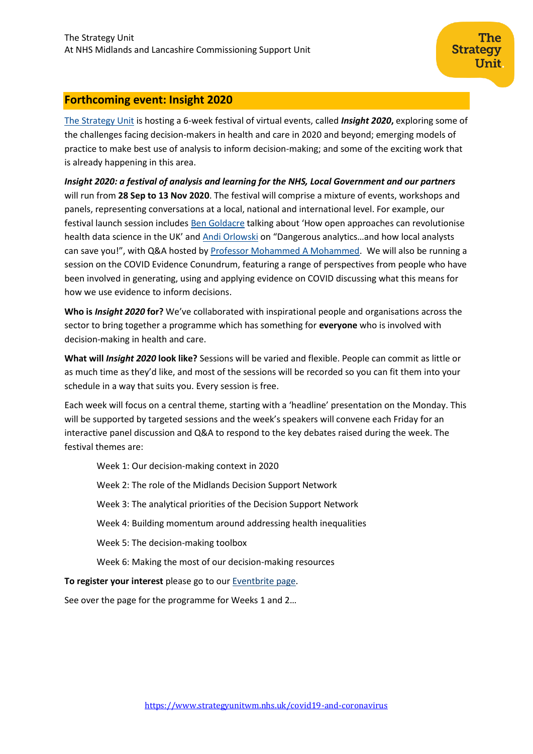# **Forthcoming event: Insight 2020**

[The Strategy Unit](https://www.strategyunitwm.nhs.uk/) is hosting a 6-week festival of virtual events, called *Insight 2020***,** exploring some of the challenges facing decision-makers in health and care in 2020 and beyond; emerging models of practice to make best use of analysis to inform decision-making; and some of the exciting work that is already happening in this area.

*Insight 2020: a festival of analysis and learning for the NHS, Local Government and our partners*  will run from **28 Sep to 13 Nov 2020**. The festival will comprise a mixture of events, workshops and panels, representing conversations at a local, national and international level. For example, our festival launch session includes [Ben Goldacre](https://www.phc.ox.ac.uk/team/ben-goldacre) talking about 'How open approaches can revolutionise health data science in the UK' and [Andi Orlowski](https://imperialcollegehealthpartners.com/staff/andi-orlowski/) on "Dangerous analytics…and how local analysts can save you!", with Q&A hosted by [Professor Mohammed A Mohammed.](https://www.strategyunitwm.nhs.uk/author/mohammed-amin-mohammed) We will also be running a session on the COVID Evidence Conundrum, featuring a range of perspectives from people who have been involved in generating, using and applying evidence on COVID discussing what this means for how we use evidence to inform decisions.

**Who is** *Insight 2020* **for?** We've collaborated with inspirational people and organisations across the sector to bring together a programme which has something for **everyone** who is involved with decision-making in health and care.

**What will** *Insight 2020* **look like?** Sessions will be varied and flexible. People can commit as little or as much time as they'd like, and most of the sessions will be recorded so you can fit them into your schedule in a way that suits you. Every session is free.

Each week will focus on a central theme, starting with a 'headline' presentation on the Monday. This will be supported by targeted sessions and the week's speakers will convene each Friday for an interactive panel discussion and Q&A to respond to the key debates raised during the week. The festival themes are:

Week 1: Our decision-making context in 2020 Week 2: The role of the Midlands Decision Support Network Week 3: The analytical priorities of the Decision Support Network Week 4: Building momentum around addressing health inequalities Week 5: The decision-making toolbox Week 6: Making the most of our decision-making resources

**To register your interest** please go to our [Eventbrite page.](https://www.eventbrite.co.uk/e/insight-2020-a-festival-of-analysis-and-learning-in-health-and-care-tickets-118012477497)

See over the page for the programme for Weeks 1 and 2…